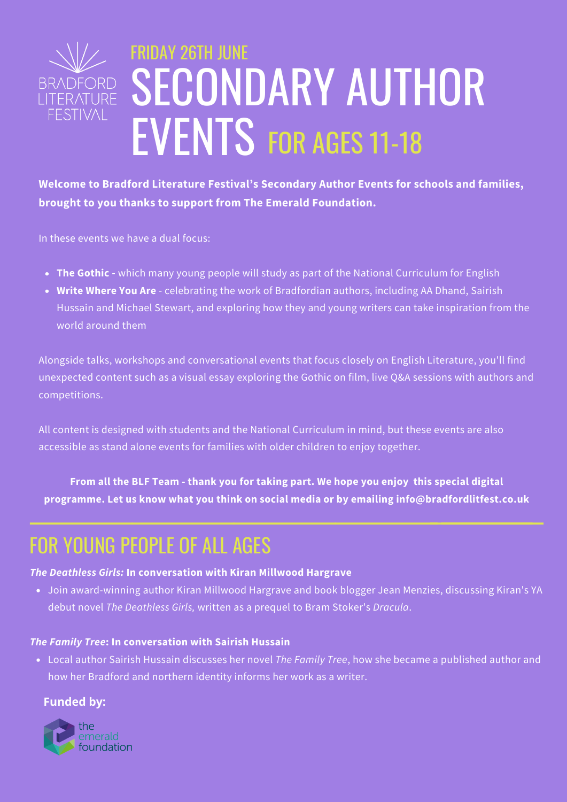

**Welcome to Bradford Literature Festival's Secondary Author Events for schools and families, brought to you thanks to support from The Emerald Foundation.**

In these events we have a dual focus:

- **The Gothic -** which many young people will study as part of the National Curriculum for English
- **Write Where You Are** celebrating the work of Bradfordian authors, including AA Dhand, Sairish Hussain and Michael Stewart, and exploring how they and young writers can take inspiration from the world around them

Alongside talks, workshops and conversational events that focus closely on English Literature, you'll find unexpected content such as a visual essay exploring the Gothic on film, live Q&A sessions with authors and competitions.

All content is designed with students and the National Curriculum in mind, but these events are also accessible as stand alone events for families with older children to enjoy together.

**From all the BLF Team - thank you for taking part. We hope you enjoy this special digital programme. Let us know what you think on social media or by emailing info@bradfordlitfest.co.uk**

# FOR YOUNG PEOPLE OF ALL AGES

### *The Deathless Girls:* **In conversation with Kiran Millwood Hargrave**

Join award-winning author Kiran Millwood Hargrave and book blogger Jean Menzies, discussing Kiran's YA debut novel *The Deathless Girls,* written as a prequel to Bram Stoker's *Dracula*.

#### *The Family Tree***: In conversation with Sairish Hussain**

Local author Sairish Hussain discusses her novel *The Family Tree*, how she became a published author and how her Bradford and northern identity informs her work as a writer.

### **Funded by:**